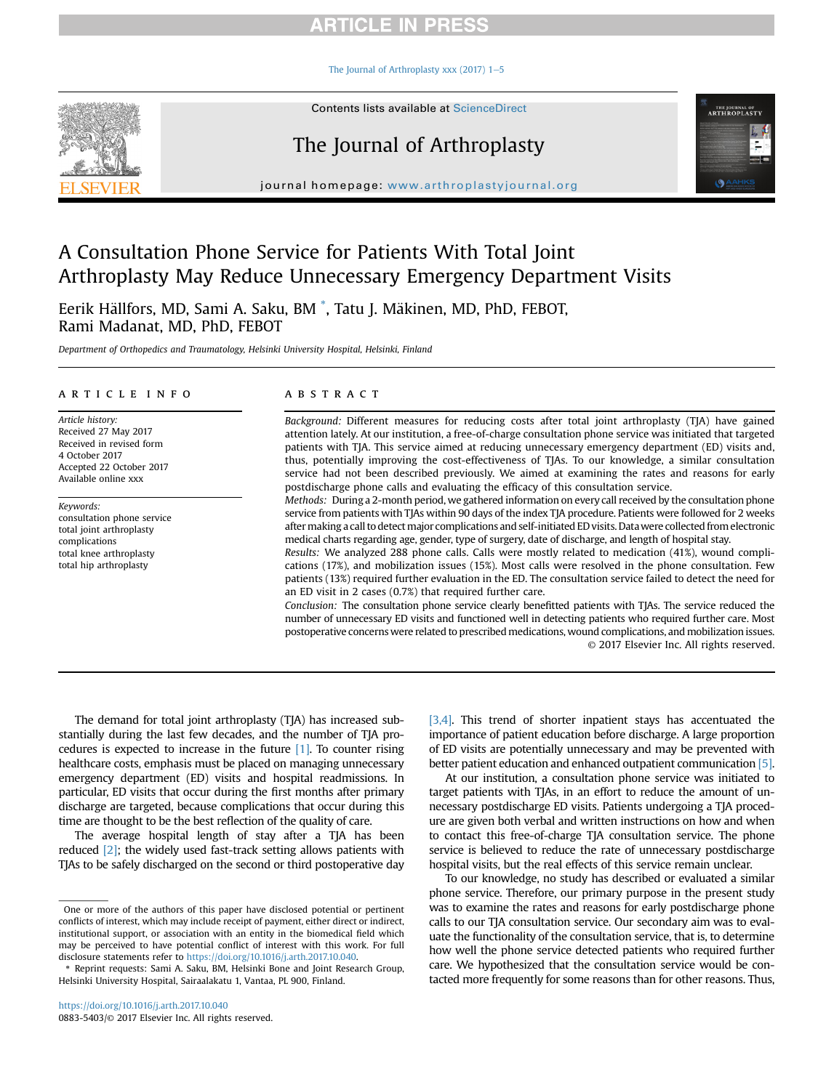## **ARTICLE IN PRESS**

The Journal of Arthroplasty xxx (2017)  $1-5$  $1-5$ 



Contents lists available at [ScienceDirect](www.sciencedirect.com/science/journal/08835403)

# The Journal of Arthroplasty

journal homepage: [www.arthroplastyjournal.org](http://www.arthroplastyjournal.org)

## A Consultation Phone Service for Patients With Total Joint Arthroplasty May Reduce Unnecessary Emergency Department Visits

Eerik Hällfors, MD, Sami A. Saku, BM  $\degree$ , Tatu J. Mäkinen, MD, PhD, FEBOT, Rami Madanat, MD, PhD, FEBOT

Department of Orthopedics and Traumatology, Helsinki University Hospital, Helsinki, Finland

#### article info

Article history: Received 27 May 2017 Received in revised form 4 October 2017 Accepted 22 October 2017 Available online xxx

Keywords: consultation phone service total joint arthroplasty complications total knee arthroplasty total hip arthroplasty

#### **ABSTRACT**

Background: Different measures for reducing costs after total joint arthroplasty (TJA) have gained attention lately. At our institution, a free-of-charge consultation phone service was initiated that targeted patients with TJA. This service aimed at reducing unnecessary emergency department (ED) visits and, thus, potentially improving the cost-effectiveness of TJAs. To our knowledge, a similar consultation service had not been described previously. We aimed at examining the rates and reasons for early postdischarge phone calls and evaluating the efficacy of this consultation service.

Methods: During a 2-month period, we gathered information on every call received by the consultation phone service from patients with TJAs within 90 days of the index TJA procedure. Patients were followed for 2 weeks after making a call to detect major complications and self-initiated ED visits. Data were collected from electronic medical charts regarding age, gender, type of surgery, date of discharge, and length of hospital stay.

Results: We analyzed 288 phone calls. Calls were mostly related to medication (41%), wound complications (17%), and mobilization issues (15%). Most calls were resolved in the phone consultation. Few patients (13%) required further evaluation in the ED. The consultation service failed to detect the need for an ED visit in 2 cases (0.7%) that required further care.

Conclusion: The consultation phone service clearly benefitted patients with TJAs. The service reduced the number of unnecessary ED visits and functioned well in detecting patients who required further care. Most postoperative concerns were related to prescribed medications, wound complications, and mobilization issues. © 2017 Elsevier Inc. All rights reserved.

The demand for total joint arthroplasty (TJA) has increased substantially during the last few decades, and the number of TJA procedures is expected to increase in the future  $[1]$ . To counter rising healthcare costs, emphasis must be placed on managing unnecessary emergency department (ED) visits and hospital readmissions. In particular, ED visits that occur during the first months after primary discharge are targeted, because complications that occur during this time are thought to be the best reflection of the quality of care.

The average hospital length of stay after a TJA has been reduced [\[2\]](#page--1-0); the widely used fast-track setting allows patients with TJAs to be safely discharged on the second or third postoperative day [\[3,4\].](#page--1-0) This trend of shorter inpatient stays has accentuated the importance of patient education before discharge. A large proportion of ED visits are potentially unnecessary and may be prevented with better patient education and enhanced outpatient communication [\[5\].](#page--1-0)

**THE JOURNAL OF<br>ARTHROPLASTY** 

G

At our institution, a consultation phone service was initiated to target patients with TJAs, in an effort to reduce the amount of unnecessary postdischarge ED visits. Patients undergoing a TJA procedure are given both verbal and written instructions on how and when to contact this free-of-charge TJA consultation service. The phone service is believed to reduce the rate of unnecessary postdischarge hospital visits, but the real effects of this service remain unclear.

To our knowledge, no study has described or evaluated a similar phone service. Therefore, our primary purpose in the present study was to examine the rates and reasons for early postdischarge phone calls to our TJA consultation service. Our secondary aim was to evaluate the functionality of the consultation service, that is, to determine how well the phone service detected patients who required further care. We hypothesized that the consultation service would be contacted more frequently for some reasons than for other reasons. Thus,

One or more of the authors of this paper have disclosed potential or pertinent conflicts of interest, which may include receipt of payment, either direct or indirect, institutional support, or association with an entity in the biomedical field which may be perceived to have potential conflict of interest with this work. For full disclosure statements refer to [https://doi.org/10.1016/j.arth.2017.10.040.](https://doi.org/10.1016/j.arth.2017.10.040)

Reprint requests: Sami A. Saku, BM, Helsinki Bone and Joint Research Group, Helsinki University Hospital, Sairaalakatu 1, Vantaa, PL 900, Finland.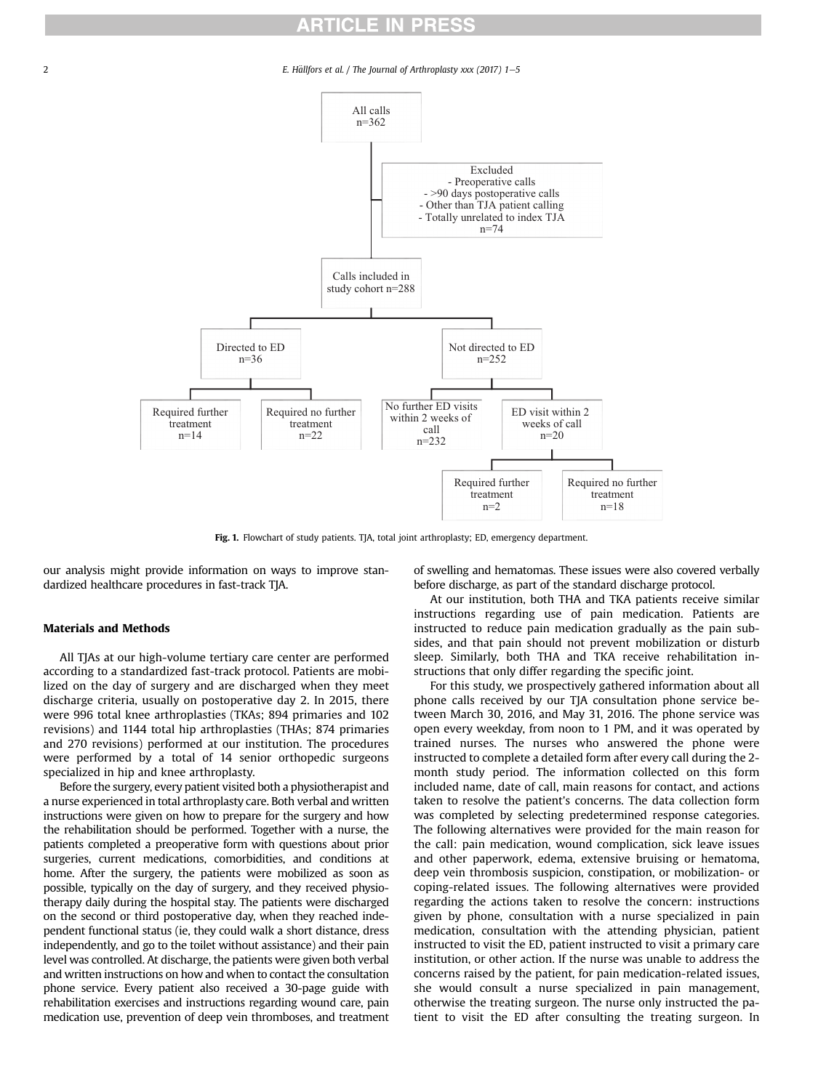### **ARTICLE IN PRESS**

2 E. Hällfors et al. / The Journal of Arthroplasty xxx (2017) 1–5



Fig. 1. Flowchart of study patients. TJA, total joint arthroplasty; ED, emergency department.

our analysis might provide information on ways to improve standardized healthcare procedures in fast-track TJA.

### Materials and Methods

All TJAs at our high-volume tertiary care center are performed according to a standardized fast-track protocol. Patients are mobilized on the day of surgery and are discharged when they meet discharge criteria, usually on postoperative day 2. In 2015, there were 996 total knee arthroplasties (TKAs; 894 primaries and 102 revisions) and 1144 total hip arthroplasties (THAs; 874 primaries and 270 revisions) performed at our institution. The procedures were performed by a total of 14 senior orthopedic surgeons specialized in hip and knee arthroplasty.

Before the surgery, every patient visited both a physiotherapist and a nurse experienced in total arthroplasty care. Both verbal and written instructions were given on how to prepare for the surgery and how the rehabilitation should be performed. Together with a nurse, the patients completed a preoperative form with questions about prior surgeries, current medications, comorbidities, and conditions at home. After the surgery, the patients were mobilized as soon as possible, typically on the day of surgery, and they received physiotherapy daily during the hospital stay. The patients were discharged on the second or third postoperative day, when they reached independent functional status (ie, they could walk a short distance, dress independently, and go to the toilet without assistance) and their pain level was controlled. At discharge, the patients were given both verbal and written instructions on how and when to contact the consultation phone service. Every patient also received a 30-page guide with rehabilitation exercises and instructions regarding wound care, pain medication use, prevention of deep vein thromboses, and treatment of swelling and hematomas. These issues were also covered verbally before discharge, as part of the standard discharge protocol.

At our institution, both THA and TKA patients receive similar instructions regarding use of pain medication. Patients are instructed to reduce pain medication gradually as the pain subsides, and that pain should not prevent mobilization or disturb sleep. Similarly, both THA and TKA receive rehabilitation instructions that only differ regarding the specific joint.

For this study, we prospectively gathered information about all phone calls received by our TJA consultation phone service between March 30, 2016, and May 31, 2016. The phone service was open every weekday, from noon to 1 PM, and it was operated by trained nurses. The nurses who answered the phone were instructed to complete a detailed form after every call during the 2 month study period. The information collected on this form included name, date of call, main reasons for contact, and actions taken to resolve the patient's concerns. The data collection form was completed by selecting predetermined response categories. The following alternatives were provided for the main reason for the call: pain medication, wound complication, sick leave issues and other paperwork, edema, extensive bruising or hematoma, deep vein thrombosis suspicion, constipation, or mobilization- or coping-related issues. The following alternatives were provided regarding the actions taken to resolve the concern: instructions given by phone, consultation with a nurse specialized in pain medication, consultation with the attending physician, patient instructed to visit the ED, patient instructed to visit a primary care institution, or other action. If the nurse was unable to address the concerns raised by the patient, for pain medication-related issues, she would consult a nurse specialized in pain management, otherwise the treating surgeon. The nurse only instructed the patient to visit the ED after consulting the treating surgeon. In